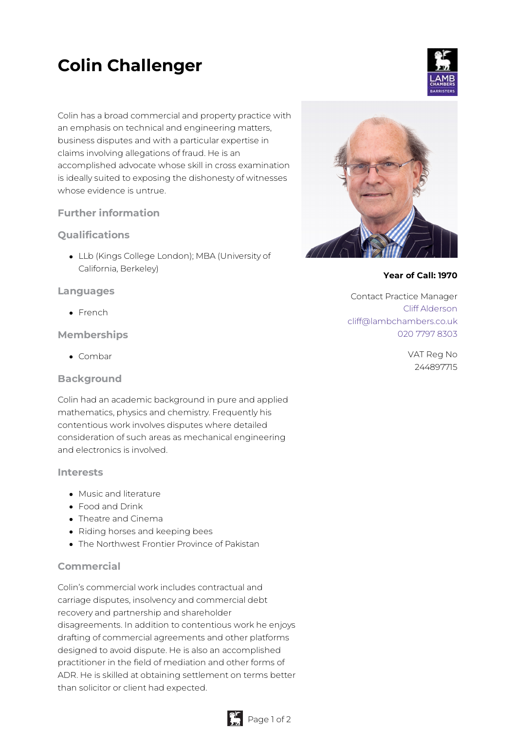# **Colin Challenger**

Colin has a broad commercial and property practice with an emphasis on technical and engineering matters, business disputes and with a particular expertise in claims involving allegations of fraud. He is an accomplished advocate whose skill in cross examination is ideally suited to exposing the dishonesty of witnesses whose evidence is untrue.

# **Further information**

# **Qualifications**

LLb (Kings College London); MBA (University of California, Berkeley)

### **Languages**

• French

### **Memberships**

• Combar

### **Background**

Colin had an academic background in pure and applied mathematics, physics and chemistry. Frequently his contentious work involves disputes where detailed consideration of such areas as mechanical engineering and electronics is involved.

### **Interests**

- Music and literature
- Food and Drink
- Theatre and Cinema
- Riding horses and keeping bees
- The Northwest Frontier Province of Pakistan

### **Commercial**

Colin's commercial work includes contractual and carriage disputes, insolvency and commercial debt recovery and partnership and shareholder disagreements. In addition to contentious work he enjoys drafting of commercial agreements and other platforms designed to avoid dispute. He is also an accomplished practitioner in the field of mediation and other forms of ADR. He is skilled at obtaining settlement on terms better than solicitor or client had expected.





#### **Year of Call: 1970**

Contact Practice Manager Cliff [Alderson](mailto:cliff@lambchambers.co.uk) [cliff@lambchambers.co.uk](mailto:cliff@lambchambers.co.uk) 020 7797 [8303](tel:020%207797%208303)

> VAT Reg No 244897715